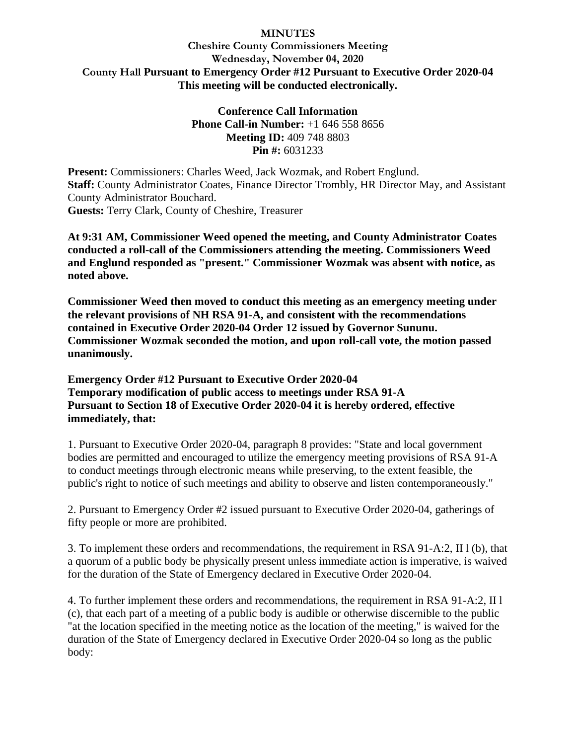## **Cheshire County Commissioners Meeting Wednesday, November 04, 2020 County Hall Pursuant to Emergency Order #12 Pursuant to Executive Order 2020-04 This meeting will be conducted electronically.**

**Conference Call Information Phone Call-in Number:** +1 646 558 8656 **Meeting ID:** 409 748 8803 **Pin #:** 6031233

**Present:** Commissioners: Charles Weed, Jack Wozmak, and Robert Englund. **Staff:** County Administrator Coates, Finance Director Trombly, HR Director May, and Assistant County Administrator Bouchard. **Guests:** Terry Clark, County of Cheshire, Treasurer

**At 9:31 AM, Commissioner Weed opened the meeting, and County Administrator Coates conducted a roll-call of the Commissioners attending the meeting. Commissioners Weed and Englund responded as "present." Commissioner Wozmak was absent with notice, as noted above.**

**Commissioner Weed then moved to conduct this meeting as an emergency meeting under the relevant provisions of NH RSA 91-A, and consistent with the recommendations contained in Executive Order 2020-04 Order 12 issued by Governor Sununu. Commissioner Wozmak seconded the motion, and upon roll-call vote, the motion passed unanimously.**

**Emergency Order #12 Pursuant to Executive Order 2020-04 Temporary modification of public access to meetings under RSA 91-A Pursuant to Section 18 of Executive Order 2020-04 it is hereby ordered, effective immediately, that:**

1. Pursuant to Executive Order 2020-04, paragraph 8 provides: "State and local government bodies are permitted and encouraged to utilize the emergency meeting provisions of RSA 91-A to conduct meetings through electronic means while preserving, to the extent feasible, the public's right to notice of such meetings and ability to observe and listen contemporaneously."

2. Pursuant to Emergency Order #2 issued pursuant to Executive Order 2020-04, gatherings of fifty people or more are prohibited.

3. To implement these orders and recommendations, the requirement in RSA 91-A:2, II l (b), that a quorum of a public body be physically present unless immediate action is imperative, is waived for the duration of the State of Emergency declared in Executive Order 2020-04.

4. To further implement these orders and recommendations, the requirement in RSA 91-A:2, II l (c), that each part of a meeting of a public body is audible or otherwise discernible to the public "at the location specified in the meeting notice as the location of the meeting," is waived for the duration of the State of Emergency declared in Executive Order 2020-04 so long as the public body: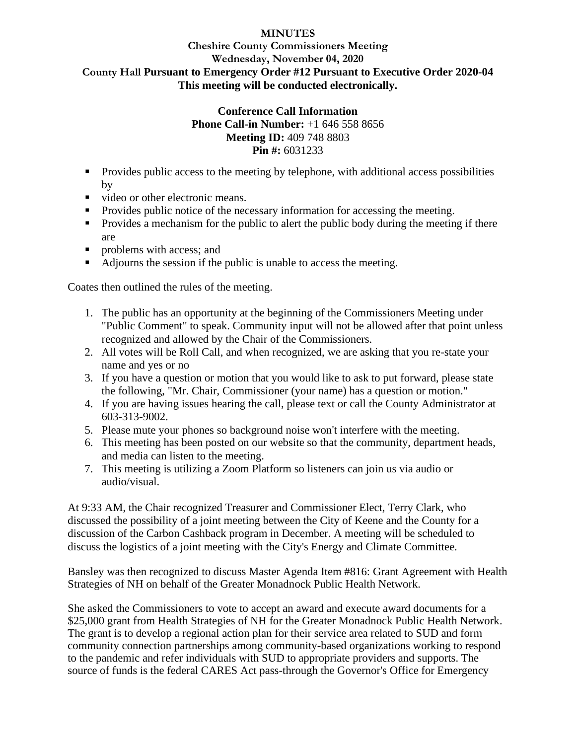## **Cheshire County Commissioners Meeting Wednesday, November 04, 2020 County Hall Pursuant to Emergency Order #12 Pursuant to Executive Order 2020-04 This meeting will be conducted electronically.**

### **Conference Call Information Phone Call-in Number:** +1 646 558 8656 **Meeting ID:** 409 748 8803 **Pin #:** 6031233

- Provides public access to the meeting by telephone, with additional access possibilities by
- video or other electronic means.
- Provides public notice of the necessary information for accessing the meeting.
- Provides a mechanism for the public to alert the public body during the meeting if there are
- problems with access: and
- Adjourns the session if the public is unable to access the meeting.

Coates then outlined the rules of the meeting.

- 1. The public has an opportunity at the beginning of the Commissioners Meeting under "Public Comment" to speak. Community input will not be allowed after that point unless recognized and allowed by the Chair of the Commissioners.
- 2. All votes will be Roll Call, and when recognized, we are asking that you re-state your name and yes or no
- 3. If you have a question or motion that you would like to ask to put forward, please state the following, "Mr. Chair, Commissioner (your name) has a question or motion."
- 4. If you are having issues hearing the call, please text or call the County Administrator at 603-313-9002.
- 5. Please mute your phones so background noise won't interfere with the meeting.
- 6. This meeting has been posted on our website so that the community, department heads, and media can listen to the meeting.
- 7. This meeting is utilizing a Zoom Platform so listeners can join us via audio or audio/visual.

At 9:33 AM, the Chair recognized Treasurer and Commissioner Elect, Terry Clark, who discussed the possibility of a joint meeting between the City of Keene and the County for a discussion of the Carbon Cashback program in December. A meeting will be scheduled to discuss the logistics of a joint meeting with the City's Energy and Climate Committee.

Bansley was then recognized to discuss Master Agenda Item #816: Grant Agreement with Health Strategies of NH on behalf of the Greater Monadnock Public Health Network.

She asked the Commissioners to vote to accept an award and execute award documents for a \$25,000 grant from Health Strategies of NH for the Greater Monadnock Public Health Network. The grant is to develop a regional action plan for their service area related to SUD and form community connection partnerships among community-based organizations working to respond to the pandemic and refer individuals with SUD to appropriate providers and supports. The source of funds is the federal CARES Act pass-through the Governor's Office for Emergency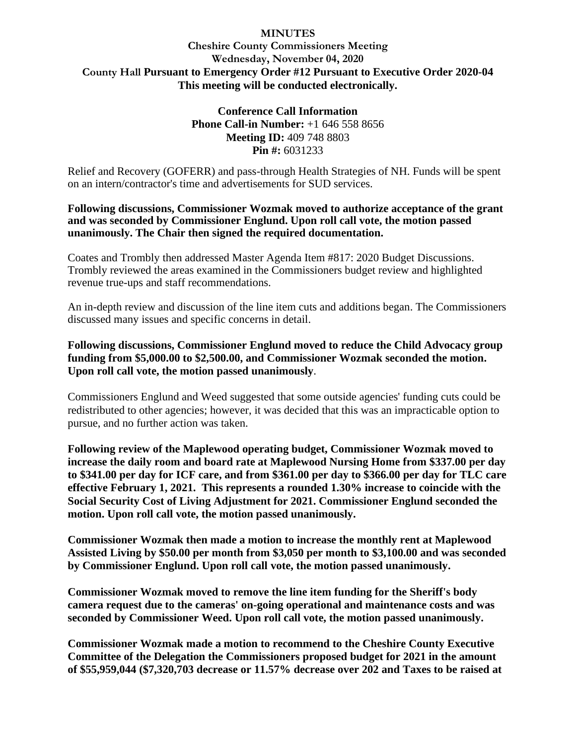# **Cheshire County Commissioners Meeting Wednesday, November 04, 2020 County Hall Pursuant to Emergency Order #12 Pursuant to Executive Order 2020-04 This meeting will be conducted electronically.**

**Conference Call Information Phone Call-in Number:** +1 646 558 8656 **Meeting ID:** 409 748 8803 **Pin #:** 6031233

Relief and Recovery (GOFERR) and pass-through Health Strategies of NH. Funds will be spent on an intern/contractor's time and advertisements for SUD services.

#### **Following discussions, Commissioner Wozmak moved to authorize acceptance of the grant and was seconded by Commissioner Englund. Upon roll call vote, the motion passed unanimously. The Chair then signed the required documentation.**

Coates and Trombly then addressed Master Agenda Item #817: 2020 Budget Discussions. Trombly reviewed the areas examined in the Commissioners budget review and highlighted revenue true-ups and staff recommendations.

An in-depth review and discussion of the line item cuts and additions began. The Commissioners discussed many issues and specific concerns in detail.

## **Following discussions, Commissioner Englund moved to reduce the Child Advocacy group funding from \$5,000.00 to \$2,500.00, and Commissioner Wozmak seconded the motion. Upon roll call vote, the motion passed unanimously**.

Commissioners Englund and Weed suggested that some outside agencies' funding cuts could be redistributed to other agencies; however, it was decided that this was an impracticable option to pursue, and no further action was taken.

**Following review of the Maplewood operating budget, Commissioner Wozmak moved to increase the daily room and board rate at Maplewood Nursing Home from \$337.00 per day to \$341.00 per day for ICF care, and from \$361.00 per day to \$366.00 per day for TLC care effective February 1, 2021. This represents a rounded 1.30% increase to coincide with the Social Security Cost of Living Adjustment for 2021. Commissioner Englund seconded the motion. Upon roll call vote, the motion passed unanimously.** 

**Commissioner Wozmak then made a motion to increase the monthly rent at Maplewood Assisted Living by \$50.00 per month from \$3,050 per month to \$3,100.00 and was seconded by Commissioner Englund. Upon roll call vote, the motion passed unanimously.**

**Commissioner Wozmak moved to remove the line item funding for the Sheriff's body camera request due to the cameras' on-going operational and maintenance costs and was seconded by Commissioner Weed. Upon roll call vote, the motion passed unanimously.**

**Commissioner Wozmak made a motion to recommend to the Cheshire County Executive Committee of the Delegation the Commissioners proposed budget for 2021 in the amount of \$55,959,044 (\$7,320,703 decrease or 11.57% decrease over 202 and Taxes to be raised at**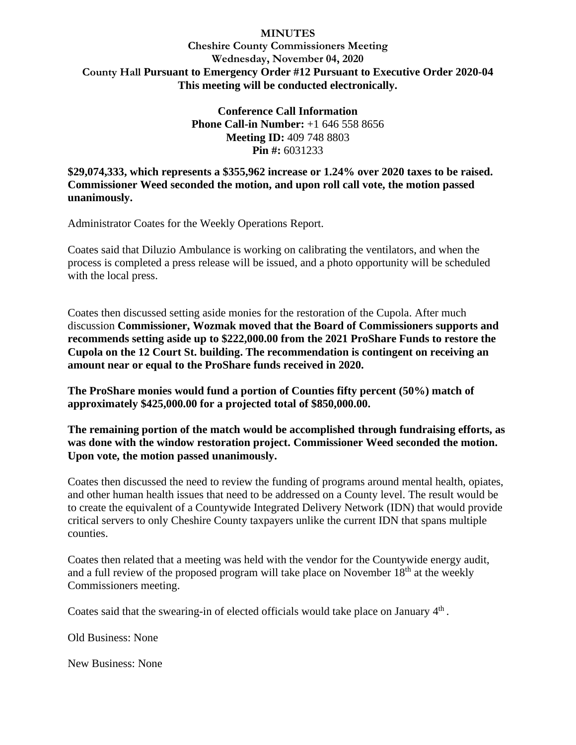# **Cheshire County Commissioners Meeting Wednesday, November 04, 2020 County Hall Pursuant to Emergency Order #12 Pursuant to Executive Order 2020-04 This meeting will be conducted electronically.**

**Conference Call Information Phone Call-in Number:** +1 646 558 8656 **Meeting ID:** 409 748 8803 **Pin #:** 6031233

**\$29,074,333, which represents a \$355,962 increase or 1.24% over 2020 taxes to be raised. Commissioner Weed seconded the motion, and upon roll call vote, the motion passed unanimously.**

Administrator Coates for the Weekly Operations Report.

Coates said that Diluzio Ambulance is working on calibrating the ventilators, and when the process is completed a press release will be issued, and a photo opportunity will be scheduled with the local press.

Coates then discussed setting aside monies for the restoration of the Cupola. After much discussion **Commissioner, Wozmak moved that the Board of Commissioners supports and recommends setting aside up to \$222,000.00 from the 2021 ProShare Funds to restore the Cupola on the 12 Court St. building. The recommendation is contingent on receiving an amount near or equal to the ProShare funds received in 2020.** 

**The ProShare monies would fund a portion of Counties fifty percent (50%) match of approximately \$425,000.00 for a projected total of \$850,000.00.**

**The remaining portion of the match would be accomplished through fundraising efforts, as was done with the window restoration project. Commissioner Weed seconded the motion. Upon vote, the motion passed unanimously.**

Coates then discussed the need to review the funding of programs around mental health, opiates, and other human health issues that need to be addressed on a County level. The result would be to create the equivalent of a Countywide Integrated Delivery Network (IDN) that would provide critical servers to only Cheshire County taxpayers unlike the current IDN that spans multiple counties.

Coates then related that a meeting was held with the vendor for the Countywide energy audit, and a full review of the proposed program will take place on November  $18<sup>th</sup>$  at the weekly Commissioners meeting.

Coates said that the swearing-in of elected officials would take place on January  $4<sup>th</sup>$ .

Old Business: None

New Business: None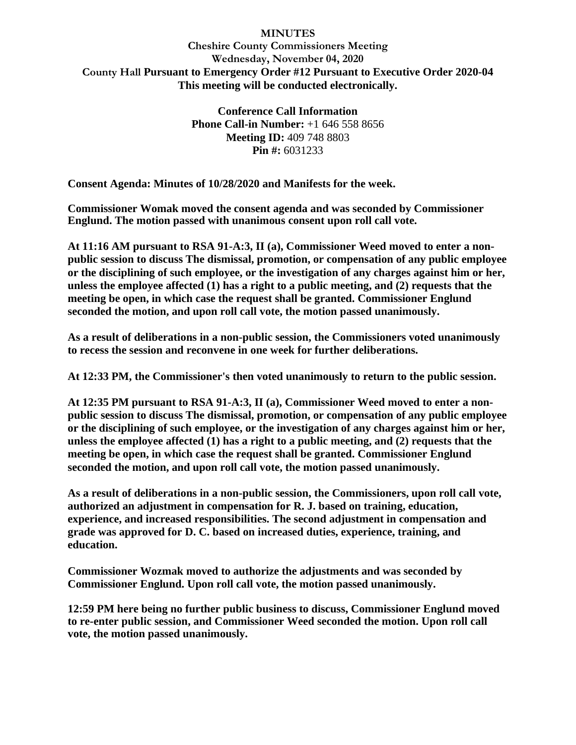# **Cheshire County Commissioners Meeting Wednesday, November 04, 2020 County Hall Pursuant to Emergency Order #12 Pursuant to Executive Order 2020-04 This meeting will be conducted electronically.**

**Conference Call Information Phone Call-in Number:** +1 646 558 8656 **Meeting ID:** 409 748 8803 **Pin #:** 6031233

**Consent Agenda: Minutes of 10/28/2020 and Manifests for the week.**

**Commissioner Womak moved the consent agenda and was seconded by Commissioner Englund. The motion passed with unanimous consent upon roll call vote.**

**At 11:16 AM pursuant to RSA 91-A:3, II (a), Commissioner Weed moved to enter a nonpublic session to discuss The dismissal, promotion, or compensation of any public employee or the disciplining of such employee, or the investigation of any charges against him or her, unless the employee affected (1) has a right to a public meeting, and (2) requests that the meeting be open, in which case the request shall be granted. Commissioner Englund seconded the motion, and upon roll call vote, the motion passed unanimously.**

**As a result of deliberations in a non-public session, the Commissioners voted unanimously to recess the session and reconvene in one week for further deliberations.**

**At 12:33 PM, the Commissioner's then voted unanimously to return to the public session.**

**At 12:35 PM pursuant to RSA 91-A:3, II (a), Commissioner Weed moved to enter a nonpublic session to discuss The dismissal, promotion, or compensation of any public employee or the disciplining of such employee, or the investigation of any charges against him or her, unless the employee affected (1) has a right to a public meeting, and (2) requests that the meeting be open, in which case the request shall be granted. Commissioner Englund seconded the motion, and upon roll call vote, the motion passed unanimously.**

**As a result of deliberations in a non-public session, the Commissioners, upon roll call vote, authorized an adjustment in compensation for R. J. based on training, education, experience, and increased responsibilities. The second adjustment in compensation and grade was approved for D. C. based on increased duties, experience, training, and education.** 

**Commissioner Wozmak moved to authorize the adjustments and was seconded by Commissioner Englund. Upon roll call vote, the motion passed unanimously.**

**12:59 PM here being no further public business to discuss, Commissioner Englund moved to re-enter public session, and Commissioner Weed seconded the motion. Upon roll call vote, the motion passed unanimously.**